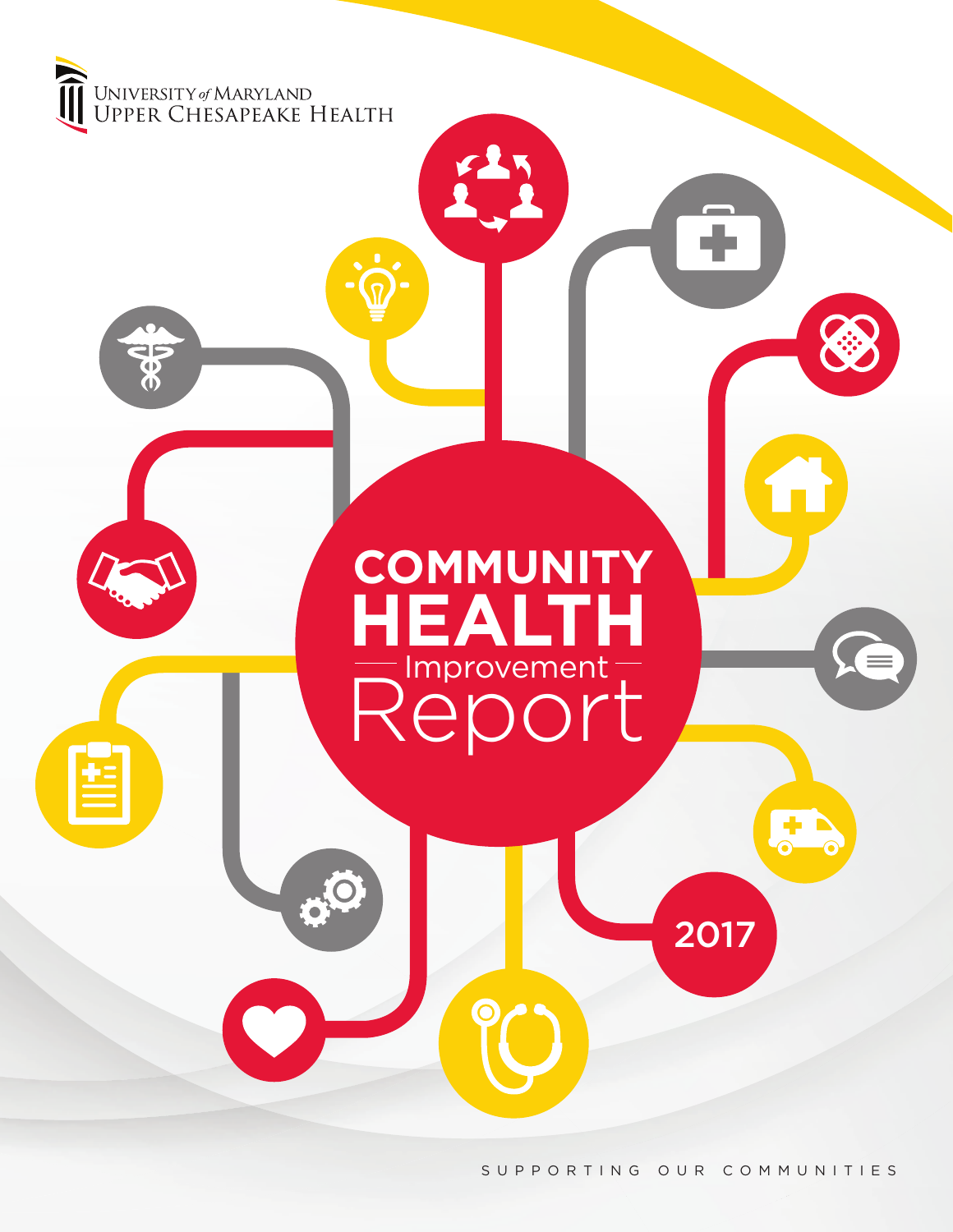

SUPPORTING OUR COMMUNITIES

2017

Lπ.

**COMMUNITY**

**HEALTH**

Improvement

Report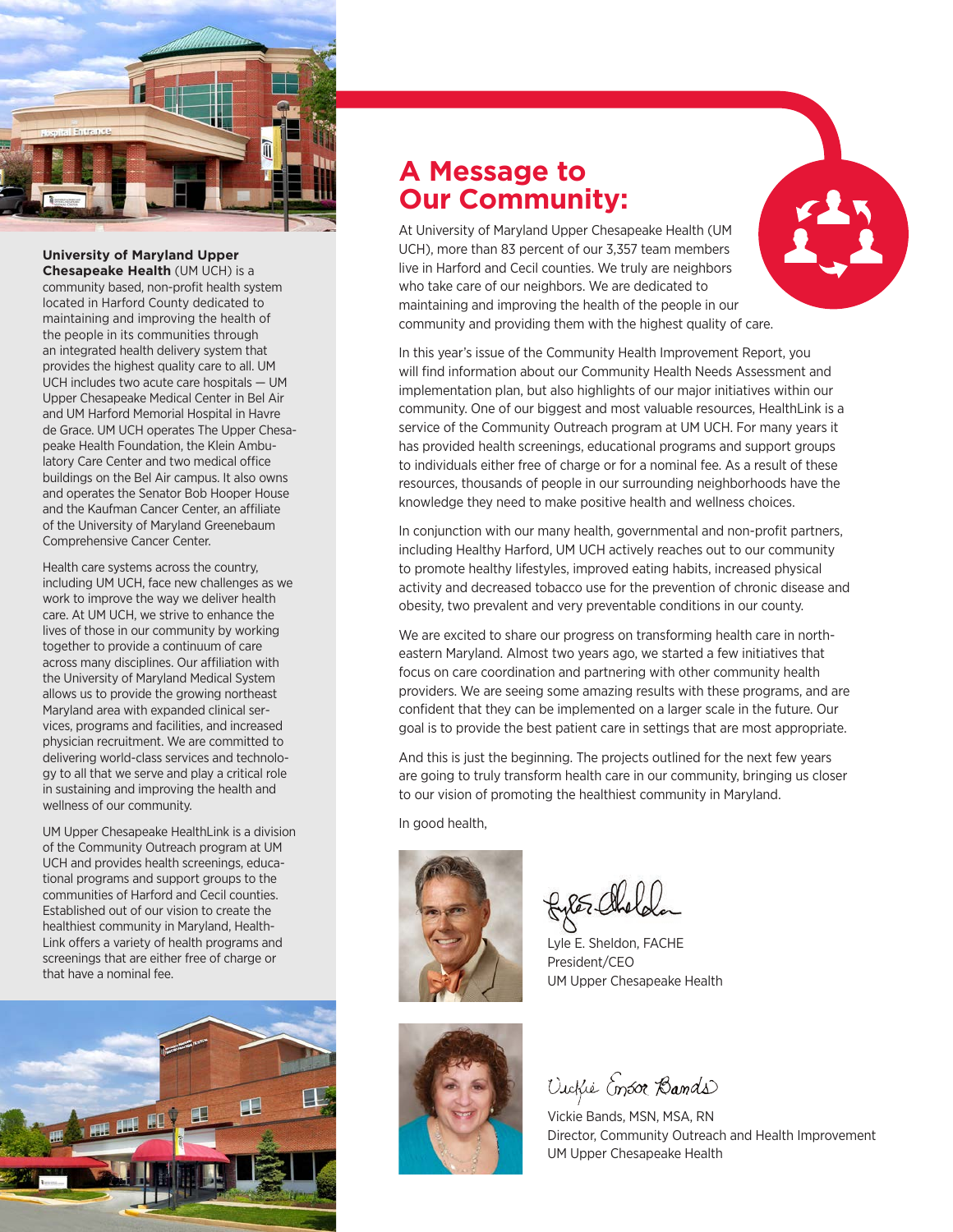

# **University of Maryland Upper**

**Chesapeake Health** (UM UCH) is a community based, non-profit health system located in Harford County dedicated to maintaining and improving the health of the people in its communities through an integrated health delivery system that provides the highest quality care to all. UM UCH includes two acute care hospitals — UM Upper Chesapeake Medical Center in Bel Air and UM Harford Memorial Hospital in Havre de Grace. UM UCH operates The Upper Chesapeake Health Foundation, the Klein Ambulatory Care Center and two medical office buildings on the Bel Air campus. It also owns and operates the Senator Bob Hooper House and the Kaufman Cancer Center, an affiliate of the University of Maryland Greenebaum Comprehensive Cancer Center.

Health care systems across the country, including UM UCH, face new challenges as we work to improve the way we deliver health care. At UM UCH, we strive to enhance the lives of those in our community by working together to provide a continuum of care across many disciplines. Our affiliation with the University of Maryland Medical System allows us to provide the growing northeast Maryland area with expanded clinical services, programs and facilities, and increased physician recruitment. We are committed to delivering world-class services and technology to all that we serve and play a critical role in sustaining and improving the health and wellness of our community.

UM Upper Chesapeake HealthLink is a division of the Community Outreach program at UM UCH and provides health screenings, educational programs and support groups to the communities of Harford and Cecil counties. Established out of our vision to create the healthiest community in Maryland, Health-Link offers a variety of health programs and screenings that are either free of charge or that have a nominal fee.



# **A Message to Our Community:**

At University of Maryland Upper Chesapeake Health (UM UCH), more than 83 percent of our 3,357 team members live in Harford and Cecil counties. We truly are neighbors who take care of our neighbors. We are dedicated to maintaining and improving the health of the people in our community and providing them with the highest quality of care.



In this year's issue of the Community Health Improvement Report, you will find information about our Community Health Needs Assessment and implementation plan, but also highlights of our major initiatives within our community. One of our biggest and most valuable resources, HealthLink is a service of the Community Outreach program at UM UCH. For many years it has provided health screenings, educational programs and support groups to individuals either free of charge or for a nominal fee. As a result of these resources, thousands of people in our surrounding neighborhoods have the knowledge they need to make positive health and wellness choices.

In conjunction with our many health, governmental and non-profit partners, including Healthy Harford, UM UCH actively reaches out to our community to promote healthy lifestyles, improved eating habits, increased physical activity and decreased tobacco use for the prevention of chronic disease and obesity, two prevalent and very preventable conditions in our county.

We are excited to share our progress on transforming health care in northeastern Maryland. Almost two years ago, we started a few initiatives that focus on care coordination and partnering with other community health providers. We are seeing some amazing results with these programs, and are confident that they can be implemented on a larger scale in the future. Our goal is to provide the best patient care in settings that are most appropriate.

And this is just the beginning. The projects outlined for the next few years are going to truly transform health care in our community, bringing us closer to our vision of promoting the healthiest community in Maryland.

In good health,



REE Chel

Lyle E. Sheldon, FACHE President/CEO UM Upper Chesapeake Health



Vickie Ensor Bands

Vickie Bands, MSN, MSA, RN Director, Community Outreach and Health Improvement UM Upper Chesapeake Health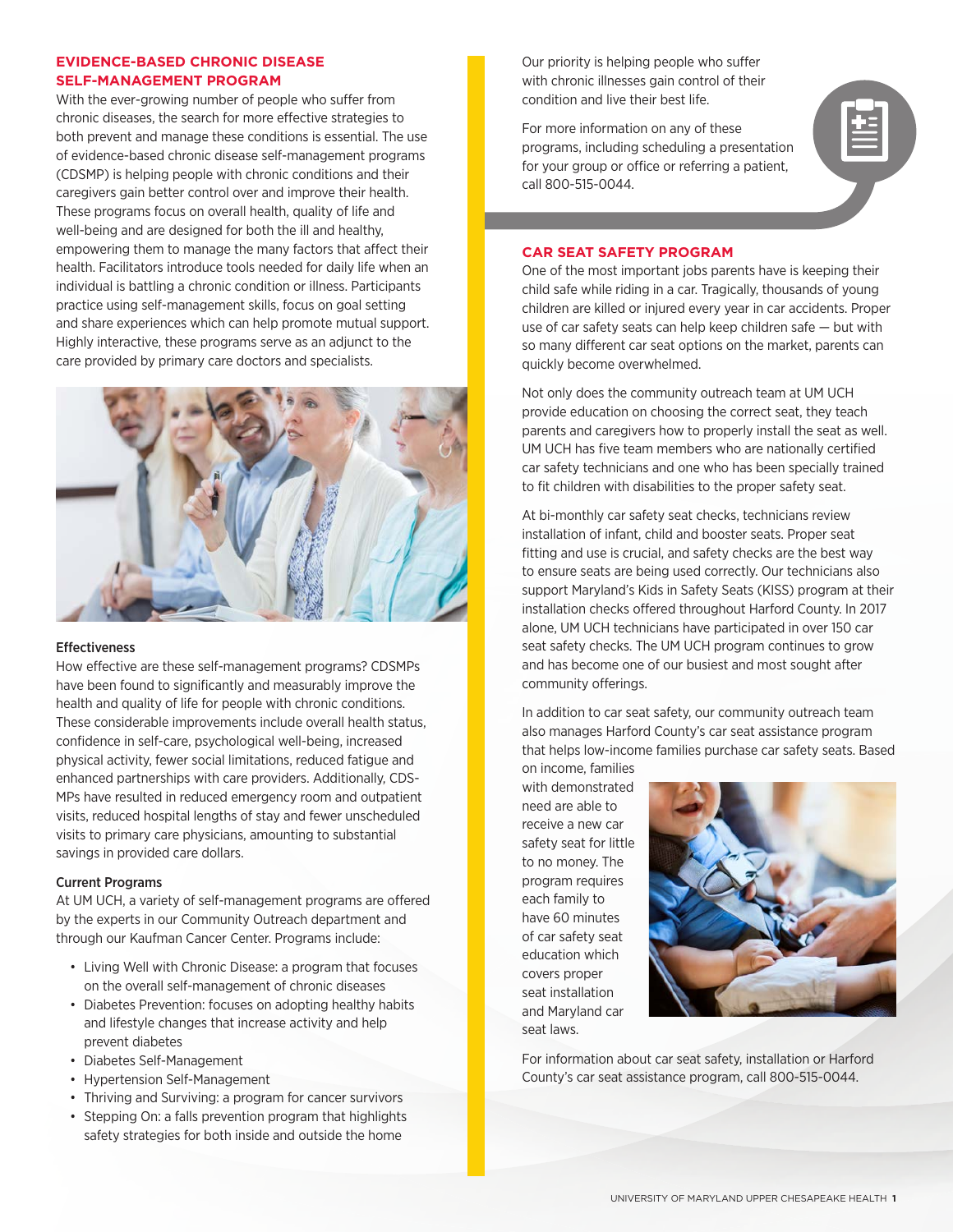# **EVIDENCE-BASED CHRONIC DISEASE SELF-MANAGEMENT PROGRAM**

With the ever-growing number of people who suffer from chronic diseases, the search for more effective strategies to both prevent and manage these conditions is essential. The use of evidence-based chronic disease self-management programs (CDSMP) is helping people with chronic conditions and their caregivers gain better control over and improve their health. These programs focus on overall health, quality of life and well-being and are designed for both the ill and healthy, empowering them to manage the many factors that affect their health. Facilitators introduce tools needed for daily life when an individual is battling a chronic condition or illness. Participants practice using self-management skills, focus on goal setting and share experiences which can help promote mutual support. Highly interactive, these programs serve as an adjunct to the care provided by primary care doctors and specialists.



### Effectiveness

How effective are these self-management programs? CDSMPs have been found to significantly and measurably improve the health and quality of life for people with chronic conditions. These considerable improvements include overall health status, confidence in self-care, psychological well-being, increased physical activity, fewer social limitations, reduced fatigue and enhanced partnerships with care providers. Additionally, CDS-MPs have resulted in reduced emergency room and outpatient visits, reduced hospital lengths of stay and fewer unscheduled visits to primary care physicians, amounting to substantial savings in provided care dollars.

### Current Programs

At UM UCH, a variety of self-management programs are offered by the experts in our Community Outreach department and through our Kaufman Cancer Center. Programs include:

- Living Well with Chronic Disease: a program that focuses on the overall self-management of chronic diseases
- Diabetes Prevention: focuses on adopting healthy habits and lifestyle changes that increase activity and help prevent diabetes
- Diabetes Self-Management
- Hypertension Self-Management
- Thriving and Surviving: a program for cancer survivors
- Stepping On: a falls prevention program that highlights safety strategies for both inside and outside the home

Our priority is helping people who suffer with chronic illnesses gain control of their condition and live their best life.

For more information on any of these programs, including scheduling a presentation for your group or office or referring a patient, call 800-515-0044.



One of the most important jobs parents have is keeping their child safe while riding in a car. Tragically, thousands of young children are killed or injured every year in car accidents. Proper use of car safety seats can help keep children safe — but with so many different car seat options on the market, parents can quickly become overwhelmed.

Not only does the community outreach team at UM UCH provide education on choosing the correct seat, they teach parents and caregivers how to properly install the seat as well. UM UCH has five team members who are nationally certified car safety technicians and one who has been specially trained to fit children with disabilities to the proper safety seat.

At bi-monthly car safety seat checks, technicians review installation of infant, child and booster seats. Proper seat fitting and use is crucial, and safety checks are the best way to ensure seats are being used correctly. Our technicians also support Maryland's Kids in Safety Seats (KISS) program at their installation checks offered throughout Harford County. In 2017 alone, UM UCH technicians have participated in over 150 car seat safety checks. The UM UCH program continues to grow and has become one of our busiest and most sought after community offerings.

In addition to car seat safety, our community outreach team also manages Harford County's car seat assistance program that helps low-income families purchase car safety seats. Based

on income, families with demonstrated need are able to receive a new car safety seat for little to no money. The program requires each family to have 60 minutes of car safety seat education which covers proper seat installation and Maryland car seat laws.



For information about car seat safety, installation or Harford County's car seat assistance program, call 800-515-0044.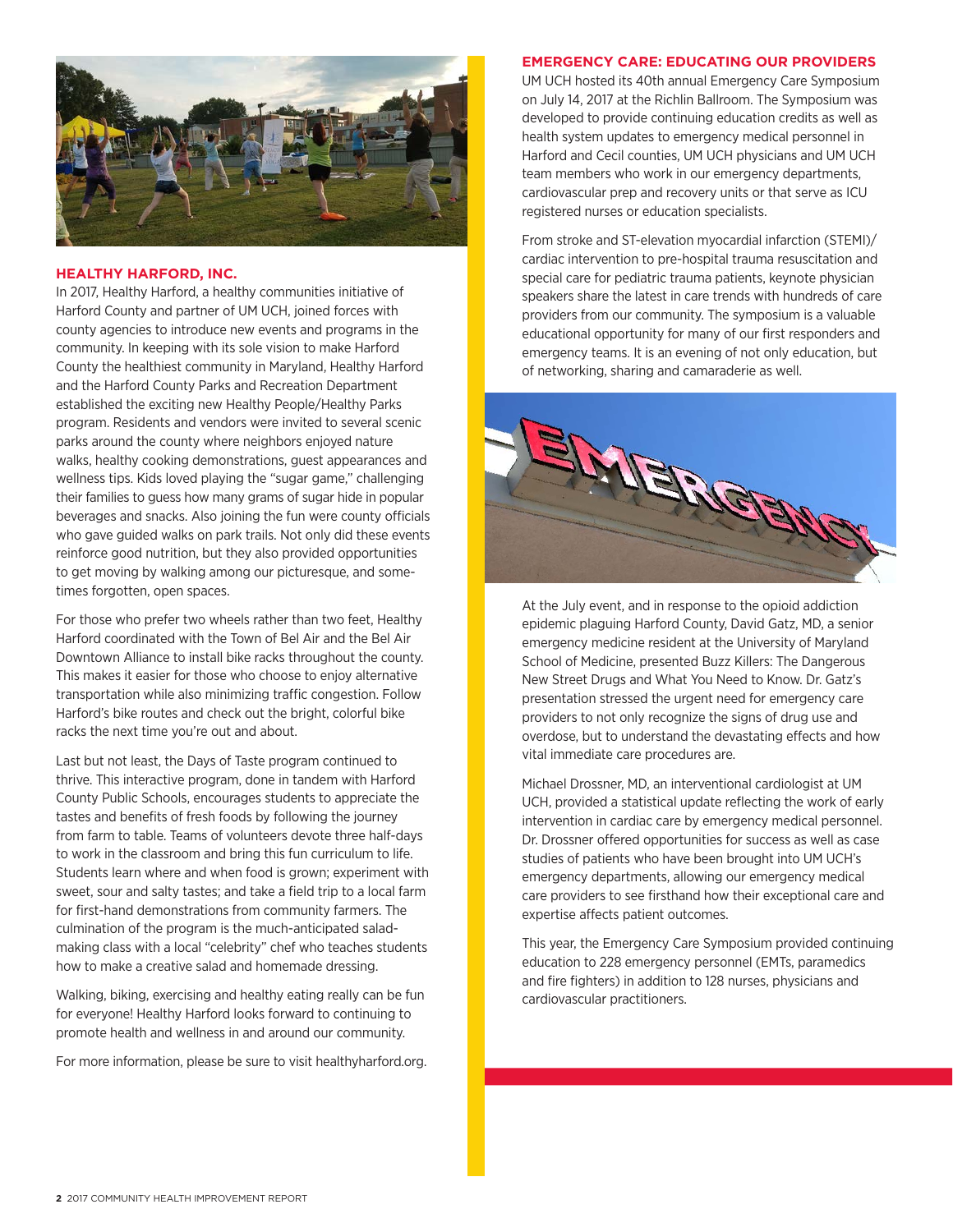

## **HEALTHY HARFORD, INC.**

In 2017, Healthy Harford, a healthy communities initiative of Harford County and partner of UM UCH, joined forces with county agencies to introduce new events and programs in the community. In keeping with its sole vision to make Harford County the healthiest community in Maryland, Healthy Harford and the Harford County Parks and Recreation Department established the exciting new Healthy People/Healthy Parks program. Residents and vendors were invited to several scenic parks around the county where neighbors enjoyed nature walks, healthy cooking demonstrations, guest appearances and wellness tips. Kids loved playing the "sugar game," challenging their families to guess how many grams of sugar hide in popular beverages and snacks. Also joining the fun were county officials who gave guided walks on park trails. Not only did these events reinforce good nutrition, but they also provided opportunities to get moving by walking among our picturesque, and sometimes forgotten, open spaces.

For those who prefer two wheels rather than two feet, Healthy Harford coordinated with the Town of Bel Air and the Bel Air Downtown Alliance to install bike racks throughout the county. This makes it easier for those who choose to enjoy alternative transportation while also minimizing traffic congestion. Follow Harford's bike routes and check out the bright, colorful bike racks the next time you're out and about.

Last but not least, the Days of Taste program continued to thrive. This interactive program, done in tandem with Harford County Public Schools, encourages students to appreciate the tastes and benefits of fresh foods by following the journey from farm to table. Teams of volunteers devote three half-days to work in the classroom and bring this fun curriculum to life. Students learn where and when food is grown; experiment with sweet, sour and salty tastes; and take a field trip to a local farm for first-hand demonstrations from community farmers. The culmination of the program is the much-anticipated saladmaking class with a local "celebrity" chef who teaches students how to make a creative salad and homemade dressing.

Walking, biking, exercising and healthy eating really can be fun for everyone! Healthy Harford looks forward to continuing to promote health and wellness in and around our community.

For more information, please be sure to visit healthyharford.org.

### **EMERGENCY CARE: EDUCATING OUR PROVIDERS**

UM UCH hosted its 40th annual Emergency Care Symposium on July 14, 2017 at the Richlin Ballroom. The Symposium was developed to provide continuing education credits as well as health system updates to emergency medical personnel in Harford and Cecil counties, UM UCH physicians and UM UCH team members who work in our emergency departments, cardiovascular prep and recovery units or that serve as ICU registered nurses or education specialists.

From stroke and ST-elevation myocardial infarction (STEMI)/ cardiac intervention to pre-hospital trauma resuscitation and special care for pediatric trauma patients, keynote physician speakers share the latest in care trends with hundreds of care providers from our community. The symposium is a valuable educational opportunity for many of our first responders and emergency teams. It is an evening of not only education, but of networking, sharing and camaraderie as well.



At the July event, and in response to the opioid addiction epidemic plaguing Harford County, David Gatz, MD, a senior emergency medicine resident at the University of Maryland School of Medicine, presented Buzz Killers: The Dangerous New Street Drugs and What You Need to Know. Dr. Gatz's presentation stressed the urgent need for emergency care providers to not only recognize the signs of drug use and overdose, but to understand the devastating effects and how vital immediate care procedures are.

Michael Drossner, MD, an interventional cardiologist at UM UCH, provided a statistical update reflecting the work of early intervention in cardiac care by emergency medical personnel. Dr. Drossner offered opportunities for success as well as case studies of patients who have been brought into UM UCH's emergency departments, allowing our emergency medical care providers to see firsthand how their exceptional care and expertise affects patient outcomes.

This year, the Emergency Care Symposium provided continuing education to 228 emergency personnel (EMTs, paramedics and fire fighters) in addition to 128 nurses, physicians and cardiovascular practitioners.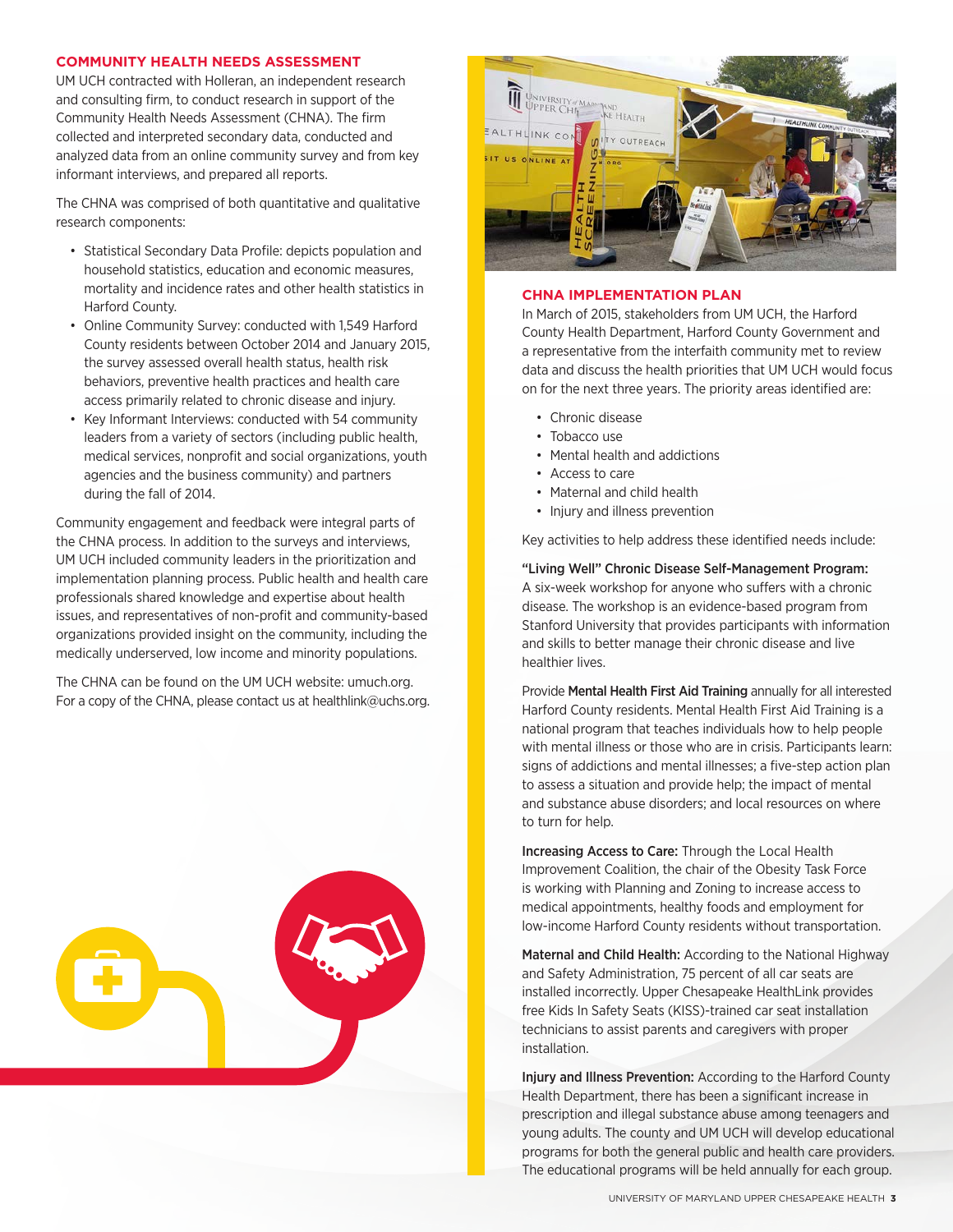### **COMMUNITY HEALTH NEEDS ASSESSMENT**

UM UCH contracted with Holleran, an independent research and consulting firm, to conduct research in support of the Community Health Needs Assessment (CHNA). The firm collected and interpreted secondary data, conducted and analyzed data from an online community survey and from key informant interviews, and prepared all reports.

The CHNA was comprised of both quantitative and qualitative research components:

- Statistical Secondary Data Profile: depicts population and household statistics, education and economic measures, mortality and incidence rates and other health statistics in Harford County.
- Online Community Survey: conducted with 1,549 Harford County residents between October 2014 and January 2015, the survey assessed overall health status, health risk behaviors, preventive health practices and health care access primarily related to chronic disease and injury.
- Key Informant Interviews: conducted with 54 community leaders from a variety of sectors (including public health, medical services, nonprofit and social organizations, youth agencies and the business community) and partners during the fall of 2014.

Community engagement and feedback were integral parts of the CHNA process. In addition to the surveys and interviews, UM UCH included community leaders in the prioritization and implementation planning process. Public health and health care professionals shared knowledge and expertise about health issues, and representatives of non-profit and community-based organizations provided insight on the community, including the medically underserved, low income and minority populations.

The CHNA can be found on the UM UCH website: umuch.org. For a copy of the CHNA, please contact us at healthlink@uchs.org.





### **CHNA IMPLEMENTATION PLAN**

In March of 2015, stakeholders from UM UCH, the Harford County Health Department, Harford County Government and a representative from the interfaith community met to review data and discuss the health priorities that UM UCH would focus on for the next three years. The priority areas identified are:

- Chronic disease
- Tobacco use
- Mental health and addictions
- Access to care
- Maternal and child health
- Injury and illness prevention

Key activities to help address these identified needs include:

"Living Well" Chronic Disease Self-Management Program: A six-week workshop for anyone who suffers with a chronic disease. The workshop is an evidence-based program from Stanford University that provides participants with information and skills to better manage their chronic disease and live healthier lives.

Provide Mental Health First Aid Training annually for all interested Harford County residents. Mental Health First Aid Training is a national program that teaches individuals how to help people with mental illness or those who are in crisis. Participants learn: signs of addictions and mental illnesses; a five-step action plan to assess a situation and provide help; the impact of mental and substance abuse disorders; and local resources on where to turn for help.

Increasing Access to Care: Through the Local Health Improvement Coalition, the chair of the Obesity Task Force is working with Planning and Zoning to increase access to medical appointments, healthy foods and employment for low-income Harford County residents without transportation.

Maternal and Child Health: According to the National Highway and Safety Administration, 75 percent of all car seats are installed incorrectly. Upper Chesapeake HealthLink provides free Kids In Safety Seats (KISS)-trained car seat installation technicians to assist parents and caregivers with proper installation.

Injury and Illness Prevention: According to the Harford County Health Department, there has been a significant increase in prescription and illegal substance abuse among teenagers and young adults. The county and UM UCH will develop educational programs for both the general public and health care providers. The educational programs will be held annually for each group.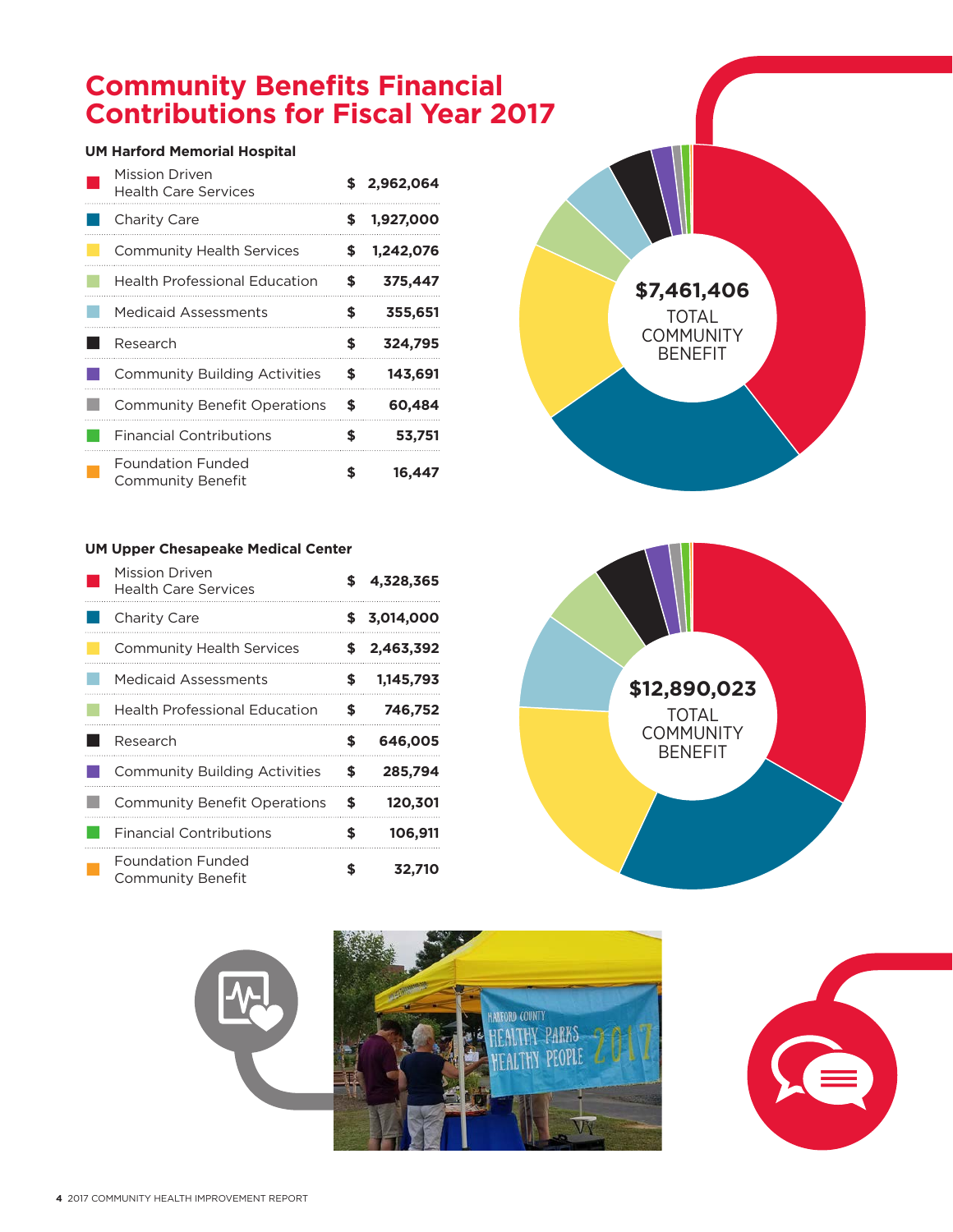# **Community Benefits Financial Contributions for Fiscal Year 2017**

# **UM Harford Memorial Hospital**

| Mission Driven<br><b>Health Care Services</b>        | S  | 2,962,064 |
|------------------------------------------------------|----|-----------|
| Charity Care                                         | S  | 1,927,000 |
| <b>Community Health Services</b>                     | \$ | 1,242,076 |
| <b>Health Professional Education</b>                 | S  | 375,447   |
| <b>Medicaid Assessments</b>                          | \$ | 355,651   |
| Research                                             | \$ | 324,795   |
| <b>Community Building Activities</b>                 | \$ | 143,691   |
| <b>Community Benefit Operations</b>                  | \$ | 60,484    |
| <b>Financial Contributions</b>                       | \$ | 53,751    |
| <b>Foundation Funded</b><br><b>Community Benefit</b> | \$ | 16,447    |

# **UM Upper Chesapeake Medical Center**

| Mission Driven<br><b>Health Care Services</b> | \$ | 4,328,365   |
|-----------------------------------------------|----|-------------|
| Charity Care                                  |    | \$3,014,000 |
| <b>Community Health Services</b>              | S  | 2,463,392   |
| <b>Medicaid Assessments</b>                   | \$ | 1,145,793   |
| <b>Health Professional Education</b>          | \$ | 746,752     |
| Research                                      | \$ | 646,005     |
| <b>Community Building Activities</b>          | \$ | 285,794     |
| <b>Community Benefit Operations</b>           | \$ | 120,301     |
| <b>Financial Contributions</b>                | S  | 106,911     |
| Foundation Funded<br>Community Benefit        | \$ | 32,710      |







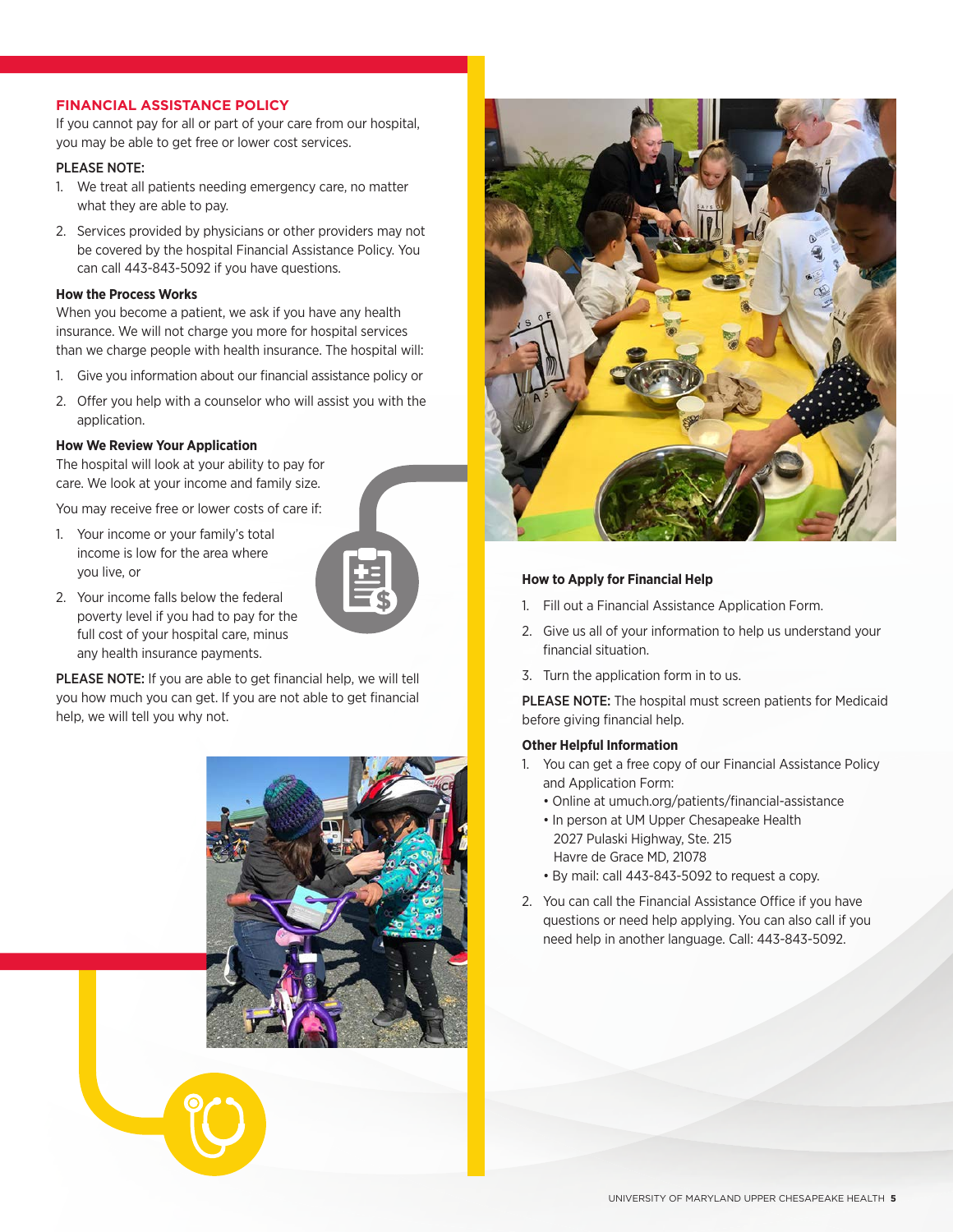# **FINANCIAL ASSISTANCE POLICY**

If you cannot pay for all or part of your care from our hospital, you may be able to get free or lower cost services.

## PLEASE NOTE:

- 1. We treat all patients needing emergency care, no matter what they are able to pay.
- 2. Services provided by physicians or other providers may not be covered by the hospital Financial Assistance Policy. You can call 443-843-5092 if you have questions.

### **How the Process Works**

When you become a patient, we ask if you have any health insurance. We will not charge you more for hospital services than we charge people with health insurance. The hospital will:

- 1. Give you information about our financial assistance policy or
- 2. Offer you help with a counselor who will assist you with the application.

## **How We Review Your Application**

The hospital will look at your ability to pay for care. We look at your income and family size.

You may receive free or lower costs of care if:

1. Your income or your family's total income is low for the area where you live, or



2. Your income falls below the federal poverty level if you had to pay for the full cost of your hospital care, minus any health insurance payments.

PLEASE NOTE: If you are able to get financial help, we will tell you how much you can get. If you are not able to get financial help, we will tell you why not.





### **How to Apply for Financial Help**

- 1. Fill out a Financial Assistance Application Form.
- 2. Give us all of your information to help us understand your financial situation.
- 3. Turn the application form in to us.

PLEASE NOTE: The hospital must screen patients for Medicaid before giving financial help.

### **Other Helpful Information**

- 1. You can get a free copy of our Financial Assistance Policy and Application Form:
	- Online at umuch.org/patients/financial-assistance
	- In person at UM Upper Chesapeake Health 2027 Pulaski Highway, Ste. 215 Havre de Grace MD, 21078
	- By mail: call 443-843-5092 to request a copy.
- 2. You can call the Financial Assistance Office if you have questions or need help applying. You can also call if you need help in another language. Call: 443-843-5092.